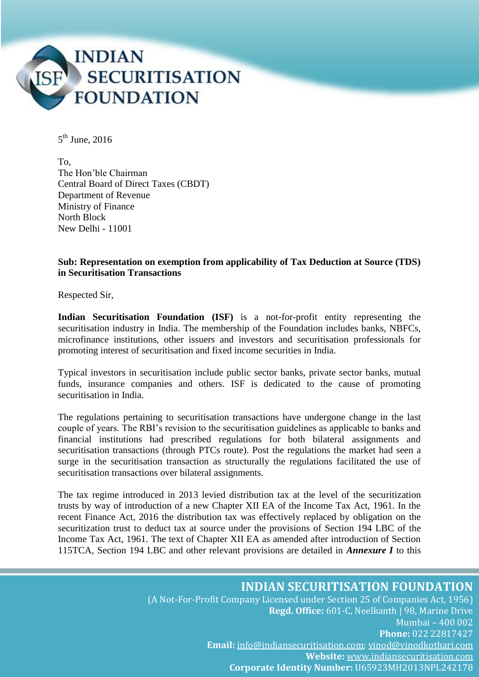

 $5^{\text{th}}$  June, 2016

To, The Hon'ble Chairman Central Board of Direct Taxes (CBDT) Department of Revenue Ministry of Finance North Block New Delhi - 11001

#### **Sub: Representation on exemption from applicability of Tax Deduction at Source (TDS) in Securitisation Transactions**

Respected Sir,

**Indian Securitisation Foundation (ISF)** is a not-for-profit entity representing the securitisation industry in India. The membership of the Foundation includes banks, NBFCs, microfinance institutions, other issuers and investors and securitisation professionals for promoting interest of securitisation and fixed income securities in India.

Typical investors in securitisation include public sector banks, private sector banks, mutual funds, insurance companies and others. ISF is dedicated to the cause of promoting securitisation in India.

The regulations pertaining to securitisation transactions have undergone change in the last couple of years. The RBI's revision to the securitisation guidelines as applicable to banks and financial institutions had prescribed regulations for both bilateral assignments and securitisation transactions (through PTCs route). Post the regulations the market had seen a surge in the securitisation transaction as structurally the regulations facilitated the use of securitisation transactions over bilateral assignments.

The tax regime introduced in 2013 levied distribution tax at the level of the securitization trusts by way of introduction of a new Chapter XII EA of the Income Tax Act, 1961. In the recent Finance Act, 2016 the distribution tax was effectively replaced by obligation on the securitization trust to deduct tax at source under the provisions of Section 194 LBC of the Income Tax Act, 1961. The text of Chapter XII EA as amended after introduction of Section 115TCA, Section 194 LBC and other relevant provisions are detailed in *Annexure I* to this

# **INDIAN SECURITISATION FOUNDATION**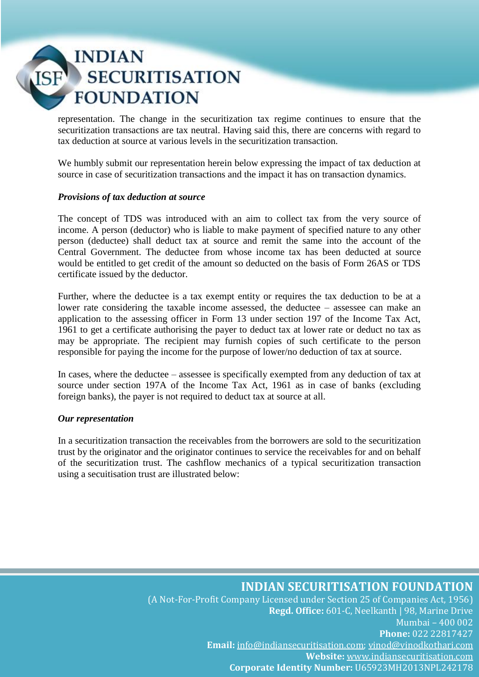# **INDIAN SECURITISATION FOUNDATION**

representation. The change in the securitization tax regime continues to ensure that the securitization transactions are tax neutral. Having said this, there are concerns with regard to tax deduction at source at various levels in the securitization transaction.

We humbly submit our representation herein below expressing the impact of tax deduction at source in case of securitization transactions and the impact it has on transaction dynamics.

#### *Provisions of tax deduction at source*

The concept of TDS was introduced with an aim to collect tax from the very source of income. A person (deductor) who is liable to make payment of specified nature to any other person (deductee) shall deduct tax at source and remit the same into the account of the Central Government. The deductee from whose income tax has been deducted at source would be entitled to get credit of the amount so deducted on the basis of Form 26AS or TDS certificate issued by the deductor.

Further, where the deductee is a tax exempt entity or requires the tax deduction to be at a lower rate considering the taxable income assessed, the deductee – assessee can make an application to the assessing officer in Form 13 under section 197 of the Income Tax Act, 1961 to get a certificate authorising the payer to deduct tax at lower rate or deduct no tax as may be appropriate. The recipient may furnish copies of such certificate to the person responsible for paying the income for the purpose of lower/no deduction of tax at source.

In cases, where the deductee – assessee is specifically exempted from any deduction of tax at source under section 197A of the Income Tax Act, 1961 as in case of banks (excluding foreign banks), the payer is not required to deduct tax at source at all.

### *Our representation*

In a securitization transaction the receivables from the borrowers are sold to the securitization trust by the originator and the originator continues to service the receivables for and on behalf of the securitization trust. The cashflow mechanics of a typical securitization transaction using a secuitisation trust are illustrated below:

# **INDIAN SECURITISATION FOUNDATION**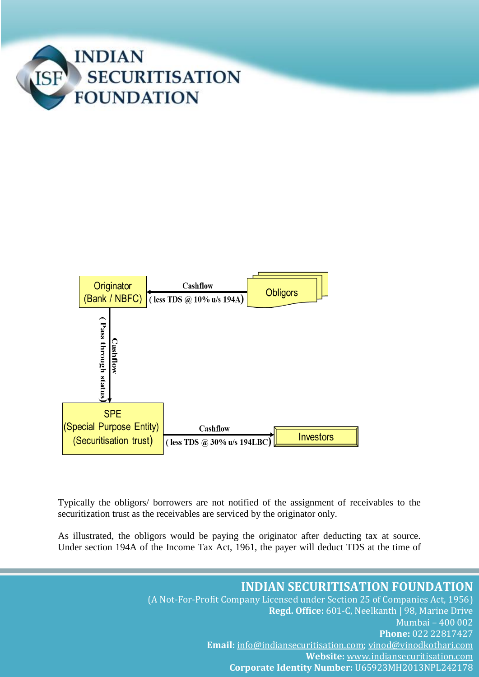



Typically the obligors/ borrowers are not notified of the assignment of receivables to the securitization trust as the receivables are serviced by the originator only.

As illustrated, the obligors would be paying the originator after deducting tax at source. Under section 194A of the Income Tax Act, 1961, the payer will deduct TDS at the time of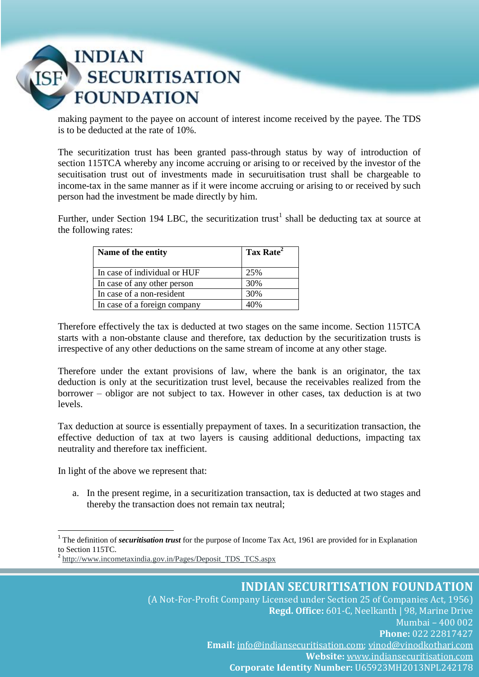# INDIAN<br>SECURITISATION **FOUNDATION**

making payment to the payee on account of interest income received by the payee. The TDS is to be deducted at the rate of 10%.

The securitization trust has been granted pass-through status by way of introduction of section 115TCA whereby any income accruing or arising to or received by the investor of the secuitisation trust out of investments made in securuitisation trust shall be chargeable to income-tax in the same manner as if it were income accruing or arising to or received by such person had the investment be made directly by him.

Further, under Section 194 LBC, the securitization trust<sup>1</sup> shall be deducting tax at source at the following rates:

| Name of the entity           | Tax Rate <sup>2</sup> |
|------------------------------|-----------------------|
| In case of individual or HUF | 25%                   |
| In case of any other person  | 30%                   |
| In case of a non-resident    | 30%                   |
| In case of a foreign company | 40%                   |

Therefore effectively the tax is deducted at two stages on the same income. Section 115TCA starts with a non-obstante clause and therefore, tax deduction by the securitization trusts is irrespective of any other deductions on the same stream of income at any other stage.

Therefore under the extant provisions of law, where the bank is an originator, the tax deduction is only at the securitization trust level, because the receivables realized from the borrower – obligor are not subject to tax. However in other cases, tax deduction is at two levels.

Tax deduction at source is essentially prepayment of taxes. In a securitization transaction, the effective deduction of tax at two layers is causing additional deductions, impacting tax neutrality and therefore tax inefficient.

In light of the above we represent that:

1

a. In the present regime, in a securitization transaction, tax is deducted at two stages and thereby the transaction does not remain tax neutral;

<sup>1</sup> The definition of *securitisation trust* for the purpose of Income Tax Act, 1961 are provided for in Explanation to Section 115TC.

<sup>&</sup>lt;sup>2</sup> [http://www.incometaxindia.gov.in/Pages/Deposit\\_TDS\\_TCS.aspx](http://www.google.com/url?q=http%3A%2F%2Fwww.incometaxindia.gov.in%2FPages%2FDeposit_TDS_TCS.aspx&sa=D&sntz=1&usg=AFQjCNESUJwcEFQ5TTR6aSHmLYEkB7x9ew)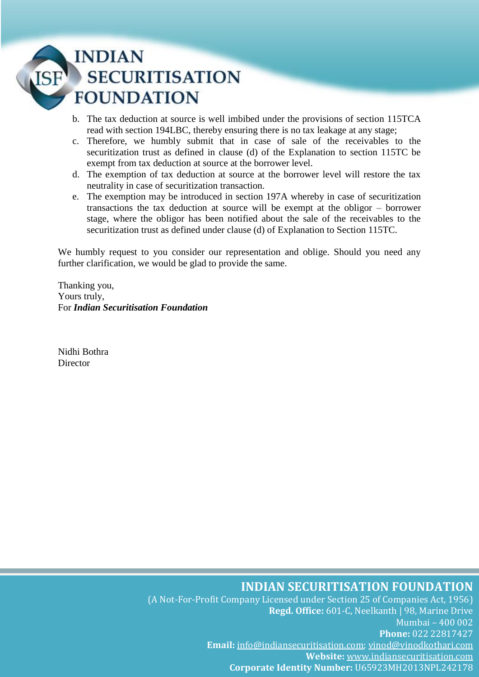# **INDIAN SECURITISATION FOUNDATION**

- b. The tax deduction at source is well imbibed under the provisions of section 115TCA read with section 194LBC, thereby ensuring there is no tax leakage at any stage;
- c. Therefore, we humbly submit that in case of sale of the receivables to the securitization trust as defined in clause (d) of the Explanation to section 115TC be exempt from tax deduction at source at the borrower level.
- d. The exemption of tax deduction at source at the borrower level will restore the tax neutrality in case of securitization transaction.
- e. The exemption may be introduced in section 197A whereby in case of securitization transactions the tax deduction at source will be exempt at the obligor – borrower stage, where the obligor has been notified about the sale of the receivables to the securitization trust as defined under clause (d) of Explanation to Section 115TC.

We humbly request to you consider our representation and oblige. Should you need any further clarification, we would be glad to provide the same.

Thanking you, Yours truly, For *Indian Securitisation Foundation*

Nidhi Bothra **Director** 

# **INDIAN SECURITISATION FOUNDATION**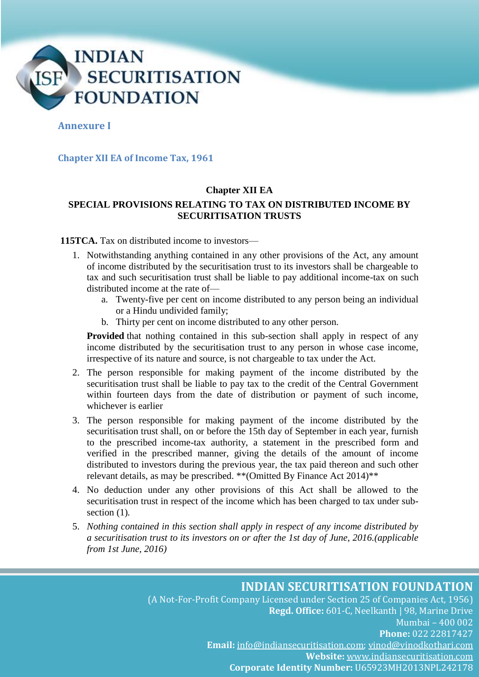

### **Annexure I**

#### **Chapter XII EA of Income Tax, 1961**

#### **Chapter XII EA**

## **SPECIAL PROVISIONS RELATING TO TAX ON DISTRIBUTED INCOME BY SECURITISATION TRUSTS**

**115TCA.** Tax on distributed income to investors—

- 1. Notwithstanding anything contained in any other provisions of the Act, any amount of income distributed by the securitisation trust to its investors shall be chargeable to tax and such securitisation trust shall be liable to pay additional income-tax on such distributed income at the rate of
	- a. Twenty-five per cent on income distributed to any person being an individual or a Hindu undivided family;
	- b. Thirty per cent on income distributed to any other person.

**Provided** that nothing contained in this sub-section shall apply in respect of any income distributed by the securitisation trust to any person in whose case income, irrespective of its nature and source, is not chargeable to tax under the Act.

- 2. The person responsible for making payment of the income distributed by the securitisation trust shall be liable to pay tax to the credit of the Central Government within fourteen days from the date of distribution or payment of such income, whichever is earlier
- 3. The person responsible for making payment of the income distributed by the securitisation trust shall, on or before the 15th day of September in each year, furnish to the prescribed income-tax authority, a statement in the prescribed form and verified in the prescribed manner, giving the details of the amount of income distributed to investors during the previous year, the tax paid thereon and such other relevant details, as may be prescribed. \*\*(Omitted By Finance Act 2014)\*\*
- 4. No deduction under any other provisions of this Act shall be allowed to the securitisation trust in respect of the income which has been charged to tax under subsection (1)*.*
- 5. *Nothing contained in this section shall apply in respect of any income distributed by a securitisation trust to its investors on or after the 1st day of June, 2016.(applicable from 1st June, 2016)*

# **INDIAN SECURITISATION FOUNDATION**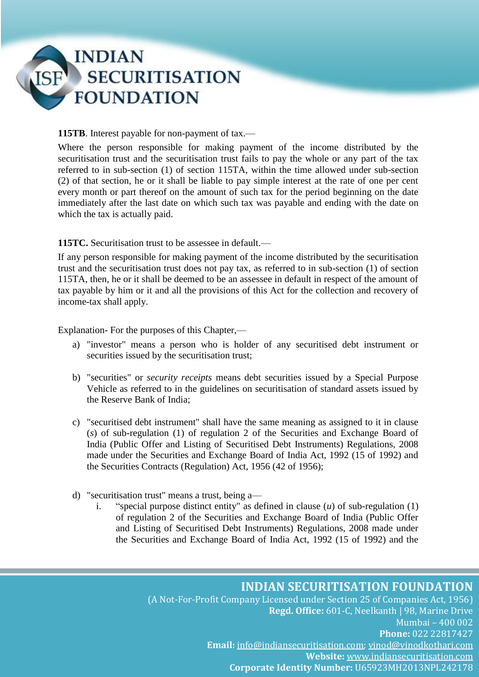

**115TB**. Interest payable for non-payment of tax.—

Where the person responsible for making payment of the income distributed by the securitisation trust and the securitisation trust fails to pay the whole or any part of the tax referred to in sub-section (1) of section 115TA, within the time allowed under sub-section (2) of that section, he or it shall be liable to pay simple interest at the rate of one per cent every month or part thereof on the amount of such tax for the period beginning on the date immediately after the last date on which such tax was payable and ending with the date on which the tax is actually paid.

**115TC.** Securitisation trust to be assessee in default.—

If any person responsible for making payment of the income distributed by the securitisation trust and the securitisation trust does not pay tax, as referred to in sub-section (1) of section 115TA, then, he or it shall be deemed to be an assessee in default in respect of the amount of tax payable by him or it and all the provisions of this Act for the collection and recovery of income-tax shall apply.

Explanation*-* For the purposes of this Chapter,—

- a) "investor" means a person who is holder of any securitised debt instrument or securities issued by the securitisation trust;
- b) "securities" or *security receipts* means debt securities issued by a Special Purpose Vehicle as referred to in the guidelines on securitisation of standard assets issued by the Reserve Bank of India;
- c) "securitised debt instrument" shall have the same meaning as assigned to it in clause (*s*) of sub-regulation (1) of regulation 2 of the Securities and Exchange Board of India (Public Offer and Listing of Securitised Debt Instruments) Regulations, 2008 made under the Securities and Exchange Board of India Act, 1992 (15 of 1992) and the Securities Contracts (Regulation) Act, 1956 (42 of 1956);
- d) "securitisation trust" means a trust, being a
	- i. "special purpose distinct entity" as defined in clause (*u*) of sub-regulation (1) of regulation 2 of the Securities and Exchange Board of India (Public Offer and Listing of Securitised Debt Instruments) Regulations, 2008 made under the Securities and Exchange Board of India Act, 1992 (15 of 1992) and the

# **INDIAN SECURITISATION FOUNDATION**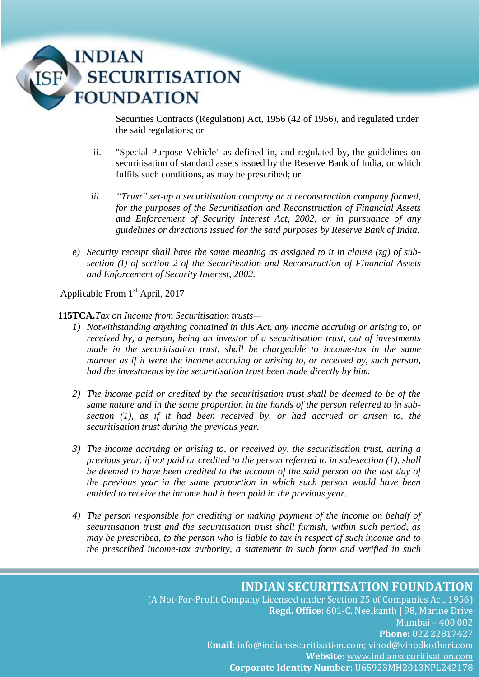

Securities Contracts (Regulation) Act, 1956 (42 of 1956), and regulated under the said regulations; or

- ii. "Special Purpose Vehicle" as defined in, and regulated by, the guidelines on securitisation of standard assets issued by the Reserve Bank of India, or which fulfils such conditions, as may be prescribed; or
- *iii. "Trust" set-up a securitisation company or a reconstruction company formed, for the purposes of the Securitisation and Reconstruction of Financial Assets and Enforcement of Security Interest Act, 2002, or in pursuance of any guidelines or directions issued for the said purposes by Reserve Bank of India.*
- *e) Security receipt shall have the same meaning as assigned to it in clause (zg) of subsection (I) of section 2 of the Securitisation and Reconstruction of Financial Assets and Enforcement of Security Interest, 2002.*

Applicable From 1<sup>st</sup> April, 2017

#### **115TCA.***Tax on Income from Securitisation trusts—*

- *1) Notwithstanding anything contained in this Act, any income accruing or arising to, or received by, a person, being an investor of a securitisation trust, out of investments made in the securitisation trust, shall be chargeable to income-tax in the same manner as if it were the income accruing or arising to, or received by, such person, had the investments by the securitisation trust been made directly by him.*
- *2) The income paid or credited by the securitisation trust shall be deemed to be of the same nature and in the same proportion in the hands of the person referred to in subsection (1), as if it had been received by, or had accrued or arisen to, the securitisation trust during the previous year.*
- *3) The income accruing or arising to, or received by, the securitisation trust, during a previous year, if not paid or credited to the person referred to in sub-section (1), shall be deemed to have been credited to the account of the said person on the last day of the previous year in the same proportion in which such person would have been entitled to receive the income had it been paid in the previous year.*
- *4) The person responsible for crediting or making payment of the income on behalf of securitisation trust and the securitisation trust shall furnish, within such period, as may be prescribed, to the person who is liable to tax in respect of such income and to the prescribed income-tax authority, a statement in such form and verified in such*

# **INDIAN SECURITISATION FOUNDATION**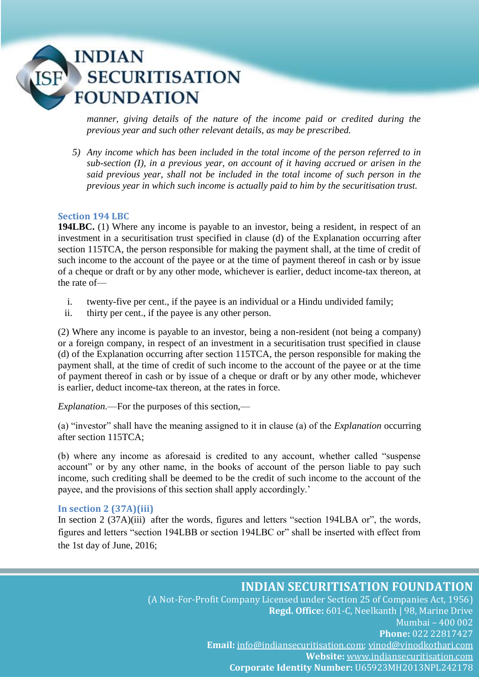# **INDIAN SECURITISATION FOUNDATION**

*manner, giving details of the nature of the income paid or credited during the previous year and such other relevant details, as may be prescribed.*

*5) Any income which has been included in the total income of the person referred to in sub-section (I), in a previous year, on account of it having accrued or arisen in the said previous year, shall not be included in the total income of such person in the previous year in which such income is actually paid to him by the securitisation trust.* 

### **Section 194 LBC**

**194LBC.** (1) Where any income is payable to an investor, being a resident, in respect of an investment in a securitisation trust specified in clause (d) of the Explanation occurring after section 115TCA, the person responsible for making the payment shall, at the time of credit of such income to the account of the payee or at the time of payment thereof in cash or by issue of a cheque or draft or by any other mode, whichever is earlier, deduct income-tax thereon, at the rate of—

- i. twenty-five per cent., if the payee is an individual or a Hindu undivided family;
- ii. thirty per cent., if the payee is any other person.

(2) Where any income is payable to an investor, being a non-resident (not being a company) or a foreign company, in respect of an investment in a securitisation trust specified in clause (d) of the Explanation occurring after section 115TCA, the person responsible for making the payment shall, at the time of credit of such income to the account of the payee or at the time of payment thereof in cash or by issue of a cheque or draft or by any other mode, whichever is earlier, deduct income-tax thereon, at the rates in force.

*Explanation.*—For the purposes of this section,—

(a) "investor" shall have the meaning assigned to it in clause (a) of the *Explanation* occurring after section 115TCA;

(b) where any income as aforesaid is credited to any account, whether called "suspense account" or by any other name, in the books of account of the person liable to pay such income, such crediting shall be deemed to be the credit of such income to the account of the payee, and the provisions of this section shall apply accordingly.'

### **In section 2 (37A)(iii)**

In section 2 (37A)(iii) after the words, figures and letters "section 194LBA or", the words, figures and letters "section 194LBB or section 194LBC or" shall be inserted with effect from the 1st day of June, 2016;

# **INDIAN SECURITISATION FOUNDATION**